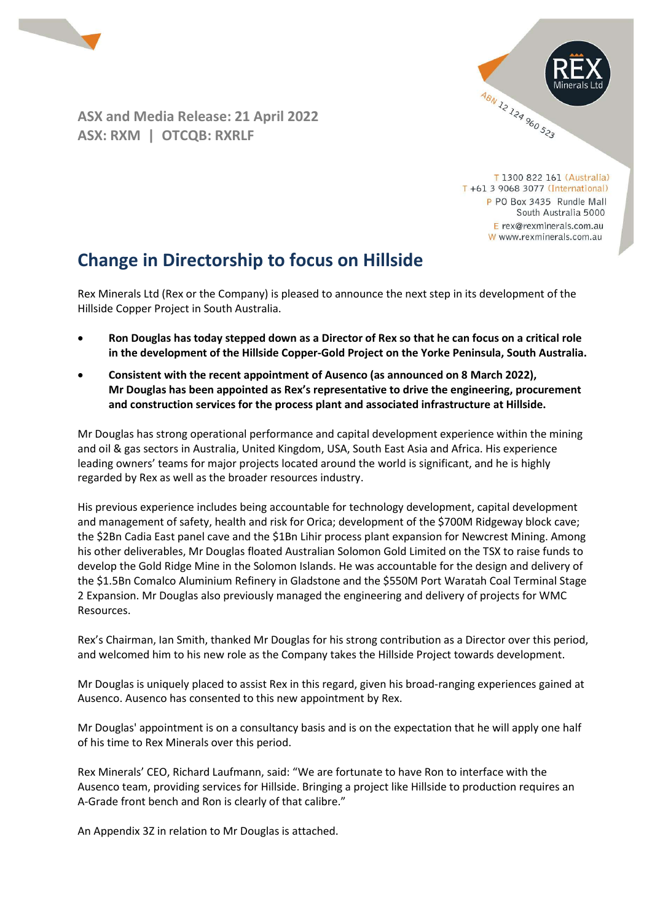

ASX and Media Release: 21 April 2022 ASX: RXM | OTCQB: RXRLF



T 1300 822 161 (Australia) T +61 3 9068 3077 (International) P PO Box 3435 Rundle Mall South Australia 5000 E rex@rexminerals.com.au W www.rexminerals.com.au

# Change in Directorship to focus on Hillside

Rex Minerals Ltd (Rex or the Company) is pleased to announce the next step in its development of the Hillside Copper Project in South Australia.

- Ron Douglas has today stepped down as a Director of Rex so that he can focus on a critical role in the development of the Hillside Copper-Gold Project on the Yorke Peninsula, South Australia.
- Consistent with the recent appointment of Ausenco (as announced on 8 March 2022), Mr Douglas has been appointed as Rex's representative to drive the engineering, procurement and construction services for the process plant and associated infrastructure at Hillside.

Mr Douglas has strong operational performance and capital development experience within the mining and oil & gas sectors in Australia, United Kingdom, USA, South East Asia and Africa. His experience leading owners' teams for major projects located around the world is significant, and he is highly regarded by Rex as well as the broader resources industry.

His previous experience includes being accountable for technology development, capital development and management of safety, health and risk for Orica; development of the \$700M Ridgeway block cave; the \$2Bn Cadia East panel cave and the \$1Bn Lihir process plant expansion for Newcrest Mining. Among his other deliverables, Mr Douglas floated Australian Solomon Gold Limited on the TSX to raise funds to develop the Gold Ridge Mine in the Solomon Islands. He was accountable for the design and delivery of the \$1.5Bn Comalco Aluminium Refinery in Gladstone and the \$550M Port Waratah Coal Terminal Stage 2 Expansion. Mr Douglas also previously managed the engineering and delivery of projects for WMC Resources.

Rex's Chairman, Ian Smith, thanked Mr Douglas for his strong contribution as a Director over this period, and welcomed him to his new role as the Company takes the Hillside Project towards development.

Mr Douglas is uniquely placed to assist Rex in this regard, given his broad-ranging experiences gained at Ausenco. Ausenco has consented to this new appointment by Rex.

Mr Douglas' appointment is on a consultancy basis and is on the expectation that he will apply one half of his time to Rex Minerals over this period.

Rex Minerals' CEO, Richard Laufmann, said: "We are fortunate to have Ron to interface with the Ausenco team, providing services for Hillside. Bringing a project like Hillside to production requires an A-Grade front bench and Ron is clearly of that calibre."

An Appendix 3Z in relation to Mr Douglas is attached.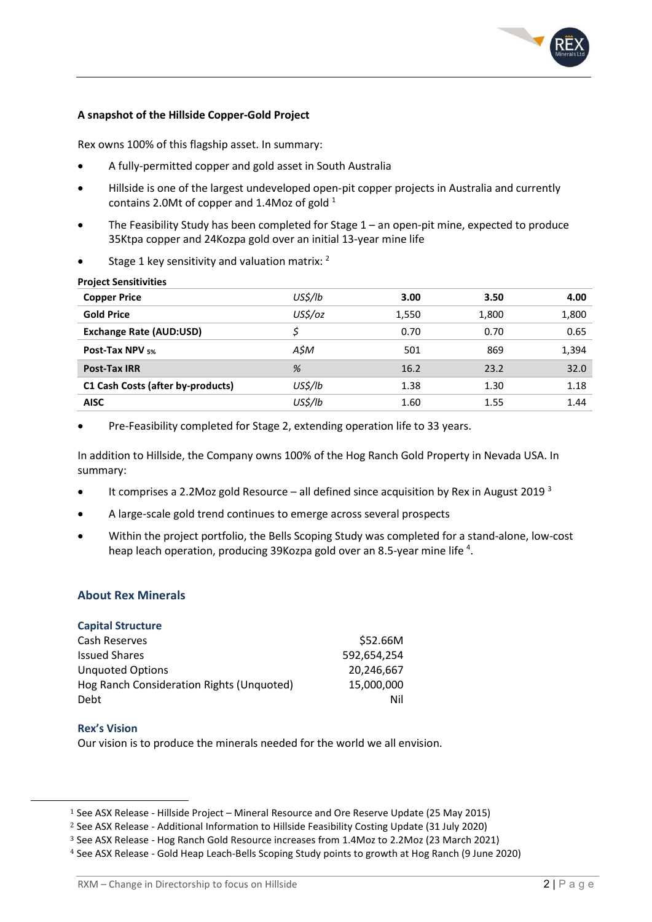

### A snapshot of the Hillside Copper-Gold Project

Rex owns 100% of this flagship asset. In summary:

- A fully-permitted copper and gold asset in South Australia
- Hillside is one of the largest undeveloped open-pit copper projects in Australia and currently contains 2.0Mt of copper and 1.4Moz of gold  $1$
- The Feasibility Study has been completed for Stage 1 an open-pit mine, expected to produce 35Ktpa copper and 24Kozpa gold over an initial 13-year mine life
- Stage 1 key sensitivity and valuation matrix: <sup>2</sup>

| <b>Project Sensitivities</b> |  |
|------------------------------|--|
|                              |  |

| <b>Copper Price</b>               | US\$/lb | 3.00  | 3.50  | 4.00  |
|-----------------------------------|---------|-------|-------|-------|
| <b>Gold Price</b>                 | US\$/oz | 1,550 | 1,800 | 1,800 |
| <b>Exchange Rate (AUD:USD)</b>    |         | 0.70  | 0.70  | 0.65  |
| <b>Post-Tax NPV 5%</b>            | A\$M    | 501   | 869   | 1,394 |
| <b>Post-Tax IRR</b>               | %       | 16.2  | 23.2  | 32.0  |
| C1 Cash Costs (after by-products) | US\$/lb | 1.38  | 1.30  | 1.18  |
| <b>AISC</b>                       | US\$/Ib | 1.60  | 1.55  | 1.44  |

Pre-Feasibility completed for Stage 2, extending operation life to 33 years.

In addition to Hillside, the Company owns 100% of the Hog Ranch Gold Property in Nevada USA. In summary:

- It comprises a 2.2Moz gold Resource all defined since acquisition by Rex in August 2019  $3$
- A large-scale gold trend continues to emerge across several prospects
- Within the project portfolio, the Bells Scoping Study was completed for a stand-alone, low-cost heap leach operation, producing 39Kozpa gold over an 8.5-year mine life <sup>4</sup>.

## About Rex Minerals

|  | <b>Capital Structure</b> |
|--|--------------------------|
|--|--------------------------|

| Cash Reserves                             | \$52.66M    |
|-------------------------------------------|-------------|
| <b>Issued Shares</b>                      | 592.654.254 |
| <b>Unquoted Options</b>                   | 20.246.667  |
| Hog Ranch Consideration Rights (Unquoted) | 15,000,000  |
| Debt                                      | Nil         |

#### Rex's Vision

Our vision is to produce the minerals needed for the world we all envision.

<sup>1</sup> See ASX Release - Hillside Project – Mineral Resource and Ore Reserve Update (25 May 2015)

<sup>2</sup> See ASX Release - Additional Information to Hillside Feasibility Costing Update (31 July 2020)

<sup>3</sup> See ASX Release - Hog Ranch Gold Resource increases from 1.4Moz to 2.2Moz (23 March 2021)

<sup>4</sup> See ASX Release - Gold Heap Leach-Bells Scoping Study points to growth at Hog Ranch (9 June 2020)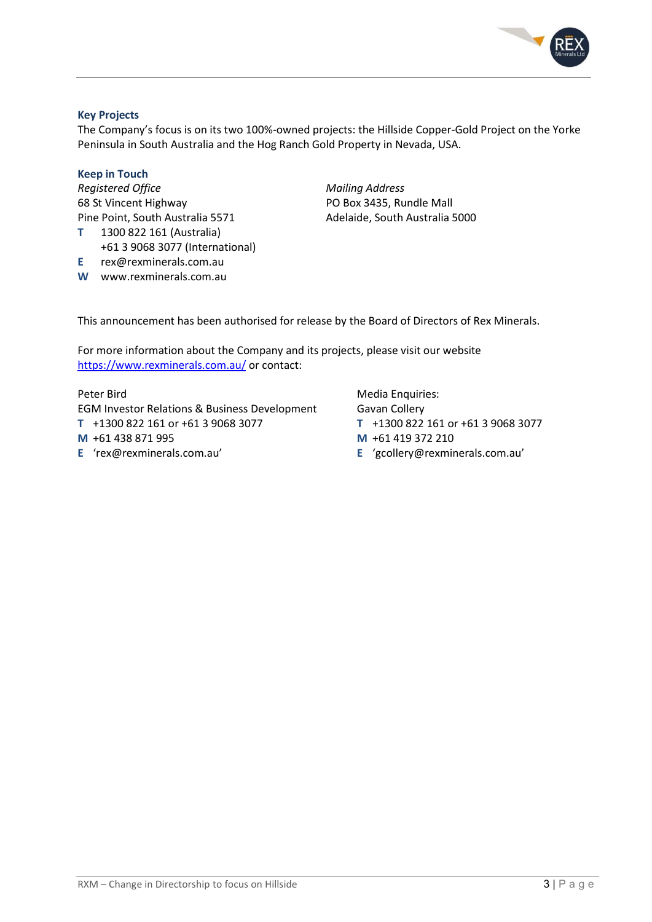

## Key Projects

The Company's focus is on its two 100%-owned projects: the Hillside Copper-Gold Project on the Yorke Peninsula in South Australia and the Hog Ranch Gold Property in Nevada, USA.

#### Keep in Touch

Registered Office **Mailing Address** Mailing Address 68 St Vincent Highway PO Box 3435, Rundle Mall Pine Point, South Australia 5571 Adelaide, South Australia 5000 T 1300 822 161 (Australia) +61 3 9068 3077 (International)

- E rex@rexminerals.com.au
- W www.rexminerals.com.au

This announcement has been authorised for release by the Board of Directors of Rex Minerals.

For more information about the Company and its projects, please visit our website https://www.rexminerals.com.au/ or contact:

EGM Investor Relations & Business Development Gavan Collery T +1300 822 161 or +61 3 9068 3077 T +1300 822 161 or +61 3 9068 3077 M +61 438 871 995 M +61 419 372 210 E 'rex@rexminerals.com.au' E 'gcollery@rexminerals.com.au'

Peter Bird Media Enquiries: